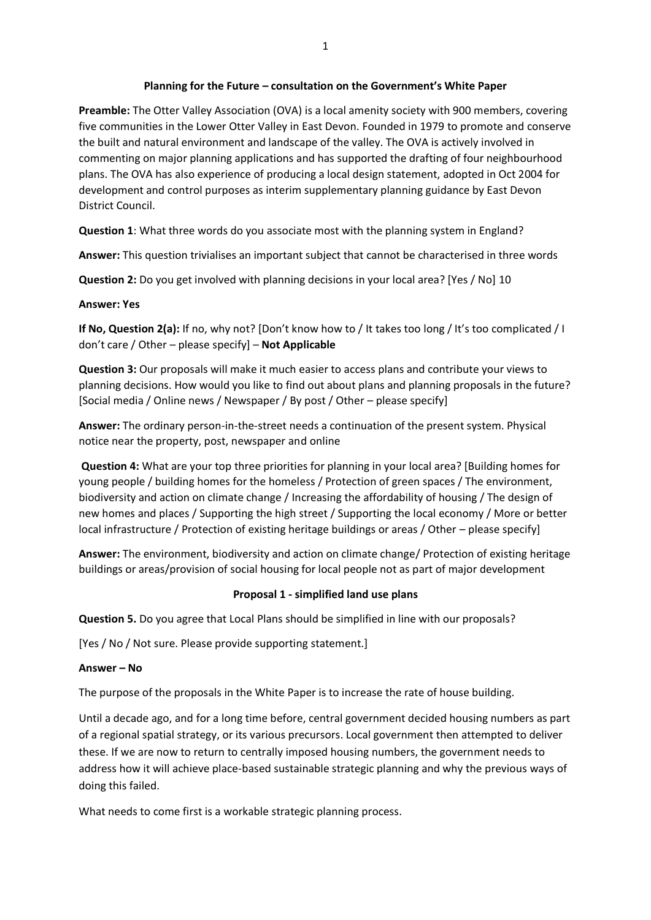### **Planning for the Future – consultation on the Government's White Paper**

**Preamble:** The Otter Valley Association (OVA) is a local amenity society with 900 members, covering five communities in the Lower Otter Valley in East Devon. Founded in 1979 to promote and conserve the built and natural environment and landscape of the valley. The OVA is actively involved in commenting on major planning applications and has supported the drafting of four neighbourhood plans. The OVA has also experience of producing a local design statement, adopted in Oct 2004 for development and control purposes as interim supplementary planning guidance by East Devon District Council.

**Question 1**: What three words do you associate most with the planning system in England?

**Answer:** This question trivialises an important subject that cannot be characterised in three words

**Question 2:** Do you get involved with planning decisions in your local area? [Yes / No] 10

### **Answer: Yes**

**If No, Question 2(a):** If no, why not? [Don't know how to / It takes too long / It's too complicated / I don't care / Other – please specify] – **Not Applicable**

**Question 3:** Our proposals will make it much easier to access plans and contribute your views to planning decisions. How would you like to find out about plans and planning proposals in the future? [Social media / Online news / Newspaper / By post / Other – please specify]

**Answer:** The ordinary person-in-the-street needs a continuation of the present system. Physical notice near the property, post, newspaper and online

**Question 4:** What are your top three priorities for planning in your local area? [Building homes for young people / building homes for the homeless / Protection of green spaces / The environment, biodiversity and action on climate change / Increasing the affordability of housing / The design of new homes and places / Supporting the high street / Supporting the local economy / More or better local infrastructure / Protection of existing heritage buildings or areas / Other – please specify]

**Answer:** The environment, biodiversity and action on climate change/ Protection of existing heritage buildings or areas/provision of social housing for local people not as part of major development

### **Proposal 1 - simplified land use plans**

**Question 5.** Do you agree that Local Plans should be simplified in line with our proposals?

[Yes / No / Not sure. Please provide supporting statement.]

#### **Answer – No**

The purpose of the proposals in the White Paper is to increase the rate of house building.

Until a decade ago, and for a long time before, central government decided housing numbers as part of a regional spatial strategy, or its various precursors. Local government then attempted to deliver these. If we are now to return to centrally imposed housing numbers, the government needs to address how it will achieve place-based sustainable strategic planning and why the previous ways of doing this failed.

What needs to come first is a workable strategic planning process.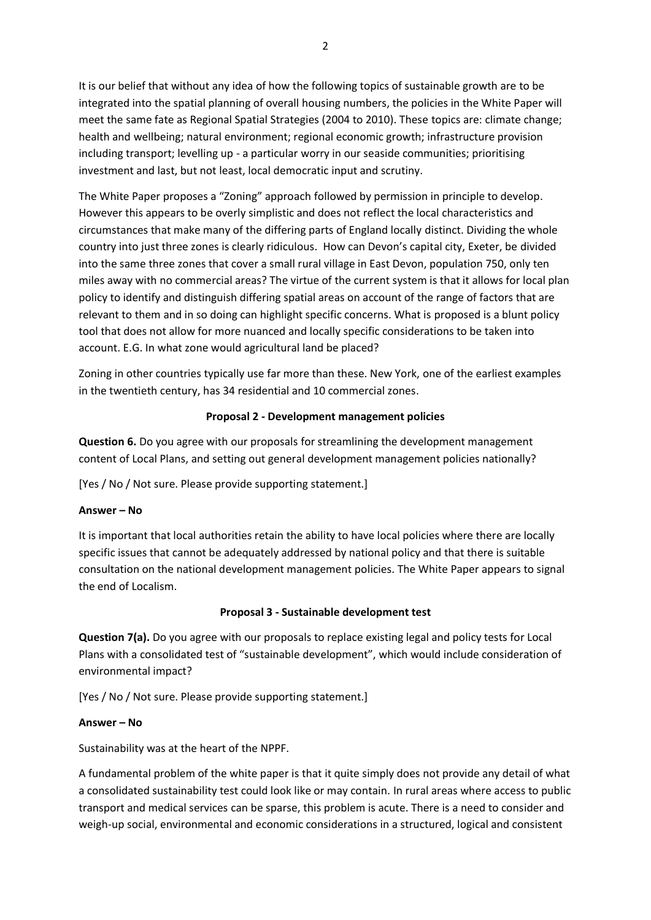It is our belief that without any idea of how the following topics of sustainable growth are to be integrated into the spatial planning of overall housing numbers, the policies in the White Paper will meet the same fate as Regional Spatial Strategies (2004 to 2010). These topics are: climate change; health and wellbeing; natural environment; regional economic growth; infrastructure provision including transport; levelling up - a particular worry in our seaside communities; prioritising investment and last, but not least, local democratic input and scrutiny.

The White Paper proposes a "Zoning" approach followed by permission in principle to develop. However this appears to be overly simplistic and does not reflect the local characteristics and circumstances that make many of the differing parts of England locally distinct. Dividing the whole country into just three zones is clearly ridiculous. How can Devon's capital city, Exeter, be divided into the same three zones that cover a small rural village in East Devon, population 750, only ten miles away with no commercial areas? The virtue of the current system is that it allows for local plan policy to identify and distinguish differing spatial areas on account of the range of factors that are relevant to them and in so doing can highlight specific concerns. What is proposed is a blunt policy tool that does not allow for more nuanced and locally specific considerations to be taken into account. E.G. In what zone would agricultural land be placed?

Zoning in other countries typically use far more than these. New York, one of the earliest examples in the twentieth century, has 34 residential and 10 commercial zones.

## **Proposal 2 - Development management policies**

**Question 6.** Do you agree with our proposals for streamlining the development management content of Local Plans, and setting out general development management policies nationally?

[Yes / No / Not sure. Please provide supporting statement.]

### **Answer – No**

It is important that local authorities retain the ability to have local policies where there are locally specific issues that cannot be adequately addressed by national policy and that there is suitable consultation on the national development management policies. The White Paper appears to signal the end of Localism.

### **Proposal 3 - Sustainable development test**

**Question 7(a).** Do you agree with our proposals to replace existing legal and policy tests for Local Plans with a consolidated test of "sustainable development", which would include consideration of environmental impact?

[Yes / No / Not sure. Please provide supporting statement.]

### **Answer – No**

Sustainability was at the heart of the NPPF.

A fundamental problem of the white paper is that it quite simply does not provide any detail of what a consolidated sustainability test could look like or may contain. In rural areas where access to public transport and medical services can be sparse, this problem is acute. There is a need to consider and weigh-up social, environmental and economic considerations in a structured, logical and consistent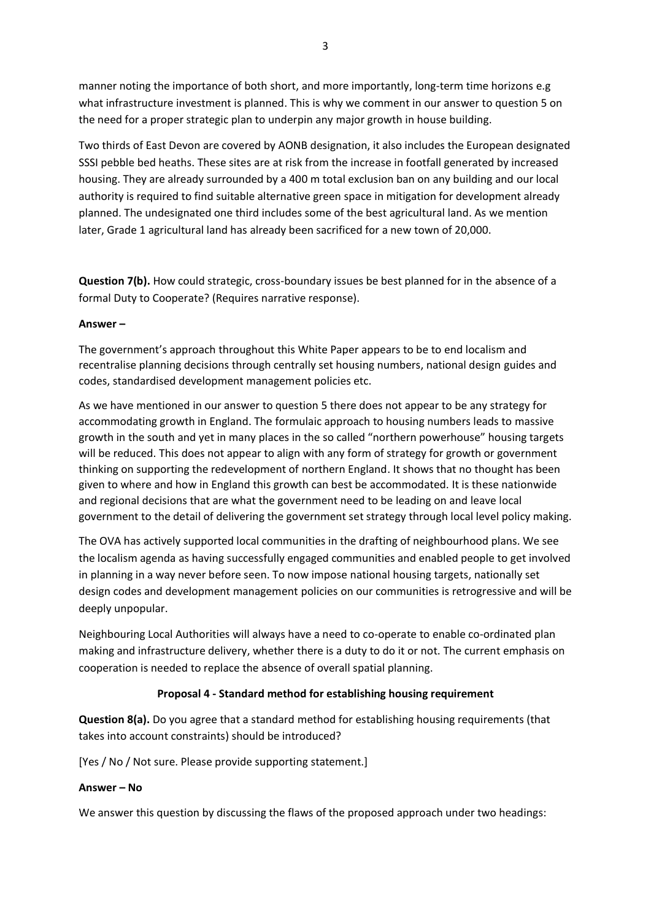manner noting the importance of both short, and more importantly, long-term time horizons e.g what infrastructure investment is planned. This is why we comment in our answer to question 5 on the need for a proper strategic plan to underpin any major growth in house building.

Two thirds of East Devon are covered by AONB designation, it also includes the European designated SSSI pebble bed heaths. These sites are at risk from the increase in footfall generated by increased housing. They are already surrounded by a 400 m total exclusion ban on any building and our local authority is required to find suitable alternative green space in mitigation for development already planned. The undesignated one third includes some of the best agricultural land. As we mention later, Grade 1 agricultural land has already been sacrificed for a new town of 20,000.

**Question 7(b).** How could strategic, cross-boundary issues be best planned for in the absence of a formal Duty to Cooperate? (Requires narrative response).

### **Answer –**

The government's approach throughout this White Paper appears to be to end localism and recentralise planning decisions through centrally set housing numbers, national design guides and codes, standardised development management policies etc.

As we have mentioned in our answer to question 5 there does not appear to be any strategy for accommodating growth in England. The formulaic approach to housing numbers leads to massive growth in the south and yet in many places in the so called "northern powerhouse" housing targets will be reduced. This does not appear to align with any form of strategy for growth or government thinking on supporting the redevelopment of northern England. It shows that no thought has been given to where and how in England this growth can best be accommodated. It is these nationwide and regional decisions that are what the government need to be leading on and leave local government to the detail of delivering the government set strategy through local level policy making.

The OVA has actively supported local communities in the drafting of neighbourhood plans. We see the localism agenda as having successfully engaged communities and enabled people to get involved in planning in a way never before seen. To now impose national housing targets, nationally set design codes and development management policies on our communities is retrogressive and will be deeply unpopular.

Neighbouring Local Authorities will always have a need to co-operate to enable co-ordinated plan making and infrastructure delivery, whether there is a duty to do it or not. The current emphasis on cooperation is needed to replace the absence of overall spatial planning.

# **Proposal 4 - Standard method for establishing housing requirement**

**Question 8(a).** Do you agree that a standard method for establishing housing requirements (that takes into account constraints) should be introduced?

[Yes / No / Not sure. Please provide supporting statement.]

### **Answer – No**

We answer this question by discussing the flaws of the proposed approach under two headings: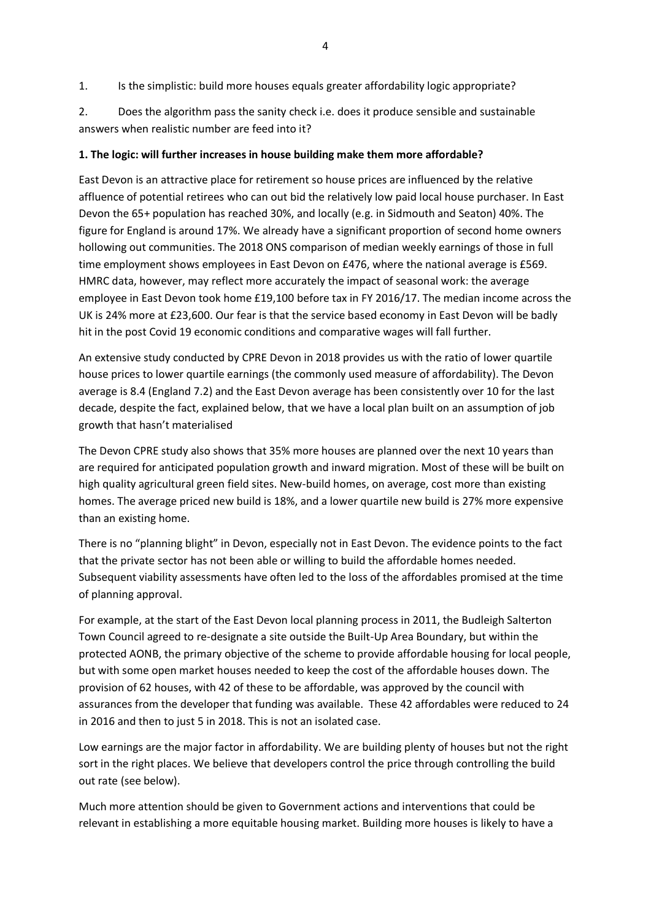1. Is the simplistic: build more houses equals greater affordability logic appropriate?

2. Does the algorithm pass the sanity check i.e. does it produce sensible and sustainable answers when realistic number are feed into it?

## **1. The logic: will further increases in house building make them more affordable?**

East Devon is an attractive place for retirement so house prices are influenced by the relative affluence of potential retirees who can out bid the relatively low paid local house purchaser. In East Devon the 65+ population has reached 30%, and locally (e.g. in Sidmouth and Seaton) 40%. The figure for England is around 17%. We already have a significant proportion of second home owners hollowing out communities. The 2018 ONS comparison of median weekly earnings of those in full time employment shows employees in East Devon on £476, where the national average is £569. HMRC data, however, may reflect more accurately the impact of seasonal work: the average employee in East Devon took home £19,100 before tax in FY 2016/17. The median income across the UK is 24% more at £23,600. Our fear is that the service based economy in East Devon will be badly hit in the post Covid 19 economic conditions and comparative wages will fall further.

An extensive study conducted by CPRE Devon in 2018 provides us with the ratio of lower quartile house prices to lower quartile earnings (the commonly used measure of affordability). The Devon average is 8.4 (England 7.2) and the East Devon average has been consistently over 10 for the last decade, despite the fact, explained below, that we have a local plan built on an assumption of job growth that hasn't materialised

The Devon CPRE study also shows that 35% more houses are planned over the next 10 years than are required for anticipated population growth and inward migration. Most of these will be built on high quality agricultural green field sites. New-build homes, on average, cost more than existing homes. The average priced new build is 18%, and a lower quartile new build is 27% more expensive than an existing home.

There is no "planning blight" in Devon, especially not in East Devon. The evidence points to the fact that the private sector has not been able or willing to build the affordable homes needed. Subsequent viability assessments have often led to the loss of the affordables promised at the time of planning approval.

For example, at the start of the East Devon local planning process in 2011, the Budleigh Salterton Town Council agreed to re-designate a site outside the Built-Up Area Boundary, but within the protected AONB, the primary objective of the scheme to provide affordable housing for local people, but with some open market houses needed to keep the cost of the affordable houses down. The provision of 62 houses, with 42 of these to be affordable, was approved by the council with assurances from the developer that funding was available. These 42 affordables were reduced to 24 in 2016 and then to just 5 in 2018. This is not an isolated case.

Low earnings are the major factor in affordability. We are building plenty of houses but not the right sort in the right places. We believe that developers control the price through controlling the build out rate (see below).

Much more attention should be given to Government actions and interventions that could be relevant in establishing a more equitable housing market. Building more houses is likely to have a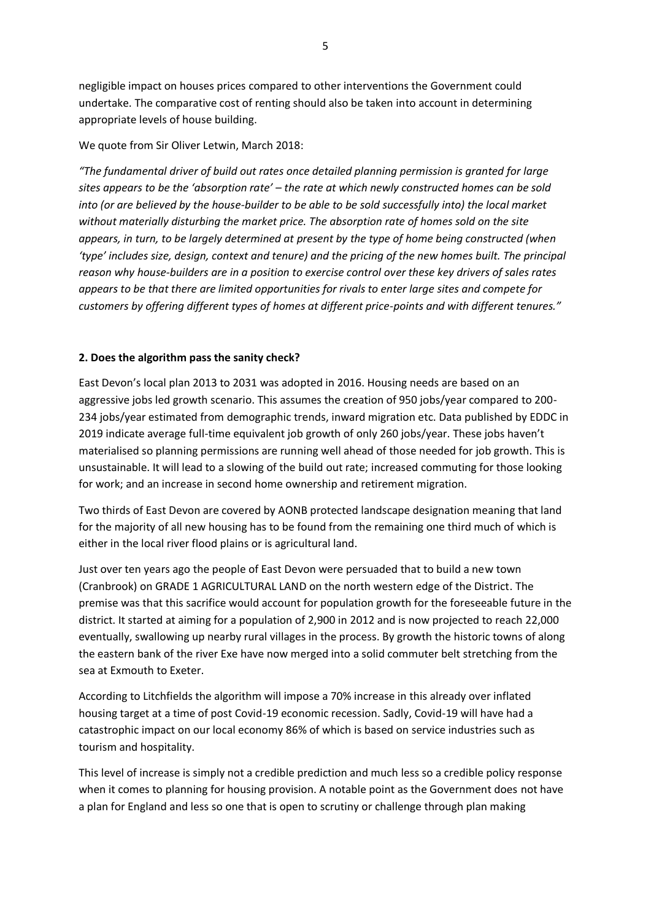negligible impact on houses prices compared to other interventions the Government could undertake. The comparative cost of renting should also be taken into account in determining appropriate levels of house building.

## We quote from Sir Oliver Letwin, March 2018:

*"The fundamental driver of build out rates once detailed planning permission is granted for large sites appears to be the 'absorption rate' – the rate at which newly constructed homes can be sold into (or are believed by the house-builder to be able to be sold successfully into) the local market without materially disturbing the market price. The absorption rate of homes sold on the site appears, in turn, to be largely determined at present by the type of home being constructed (when 'type' includes size, design, context and tenure) and the pricing of the new homes built. The principal reason why house-builders are in a position to exercise control over these key drivers of sales rates appears to be that there are limited opportunities for rivals to enter large sites and compete for customers by offering different types of homes at different price-points and with different tenures."*

### **2. Does the algorithm pass the sanity check?**

East Devon's local plan 2013 to 2031 was adopted in 2016. Housing needs are based on an aggressive jobs led growth scenario. This assumes the creation of 950 jobs/year compared to 200- 234 jobs/year estimated from demographic trends, inward migration etc. Data published by EDDC in 2019 indicate average full-time equivalent job growth of only 260 jobs/year. These jobs haven't materialised so planning permissions are running well ahead of those needed for job growth. This is unsustainable. It will lead to a slowing of the build out rate; increased commuting for those looking for work; and an increase in second home ownership and retirement migration.

Two thirds of East Devon are covered by AONB protected landscape designation meaning that land for the majority of all new housing has to be found from the remaining one third much of which is either in the local river flood plains or is agricultural land.

Just over ten years ago the people of East Devon were persuaded that to build a new town (Cranbrook) on GRADE 1 AGRICULTURAL LAND on the north western edge of the District. The premise was that this sacrifice would account for population growth for the foreseeable future in the district. It started at aiming for a population of 2,900 in 2012 and is now projected to reach 22,000 eventually, swallowing up nearby rural villages in the process. By growth the historic towns of along the eastern bank of the river Exe have now merged into a solid commuter belt stretching from the sea at Exmouth to Exeter.

According to Litchfields the algorithm will impose a 70% increase in this already over inflated housing target at a time of post Covid-19 economic recession. Sadly, Covid-19 will have had a catastrophic impact on our local economy 86% of which is based on service industries such as tourism and hospitality.

This level of increase is simply not a credible prediction and much less so a credible policy response when it comes to planning for housing provision. A notable point as the Government does not have a plan for England and less so one that is open to scrutiny or challenge through plan making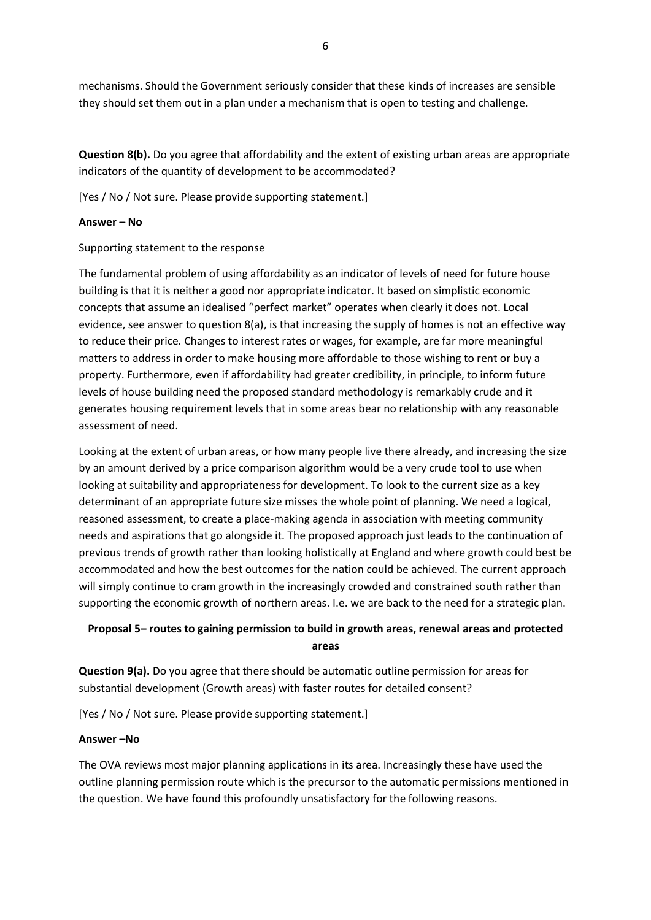mechanisms. Should the Government seriously consider that these kinds of increases are sensible they should set them out in a plan under a mechanism that is open to testing and challenge.

**Question 8(b).** Do you agree that affordability and the extent of existing urban areas are appropriate indicators of the quantity of development to be accommodated?

[Yes / No / Not sure. Please provide supporting statement.]

## **Answer – No**

Supporting statement to the response

The fundamental problem of using affordability as an indicator of levels of need for future house building is that it is neither a good nor appropriate indicator. It based on simplistic economic concepts that assume an idealised "perfect market" operates when clearly it does not. Local evidence, see answer to question 8(a), is that increasing the supply of homes is not an effective way to reduce their price. Changes to interest rates or wages, for example, are far more meaningful matters to address in order to make housing more affordable to those wishing to rent or buy a property. Furthermore, even if affordability had greater credibility, in principle, to inform future levels of house building need the proposed standard methodology is remarkably crude and it generates housing requirement levels that in some areas bear no relationship with any reasonable assessment of need.

Looking at the extent of urban areas, or how many people live there already, and increasing the size by an amount derived by a price comparison algorithm would be a very crude tool to use when looking at suitability and appropriateness for development. To look to the current size as a key determinant of an appropriate future size misses the whole point of planning. We need a logical, reasoned assessment, to create a place-making agenda in association with meeting community needs and aspirations that go alongside it. The proposed approach just leads to the continuation of previous trends of growth rather than looking holistically at England and where growth could best be accommodated and how the best outcomes for the nation could be achieved. The current approach will simply continue to cram growth in the increasingly crowded and constrained south rather than supporting the economic growth of northern areas. I.e. we are back to the need for a strategic plan.

# **Proposal 5– routes to gaining permission to build in growth areas, renewal areas and protected areas**

**Question 9(a).** Do you agree that there should be automatic outline permission for areas for substantial development (Growth areas) with faster routes for detailed consent?

[Yes / No / Not sure. Please provide supporting statement.]

### **Answer –No**

The OVA reviews most major planning applications in its area. Increasingly these have used the outline planning permission route which is the precursor to the automatic permissions mentioned in the question. We have found this profoundly unsatisfactory for the following reasons.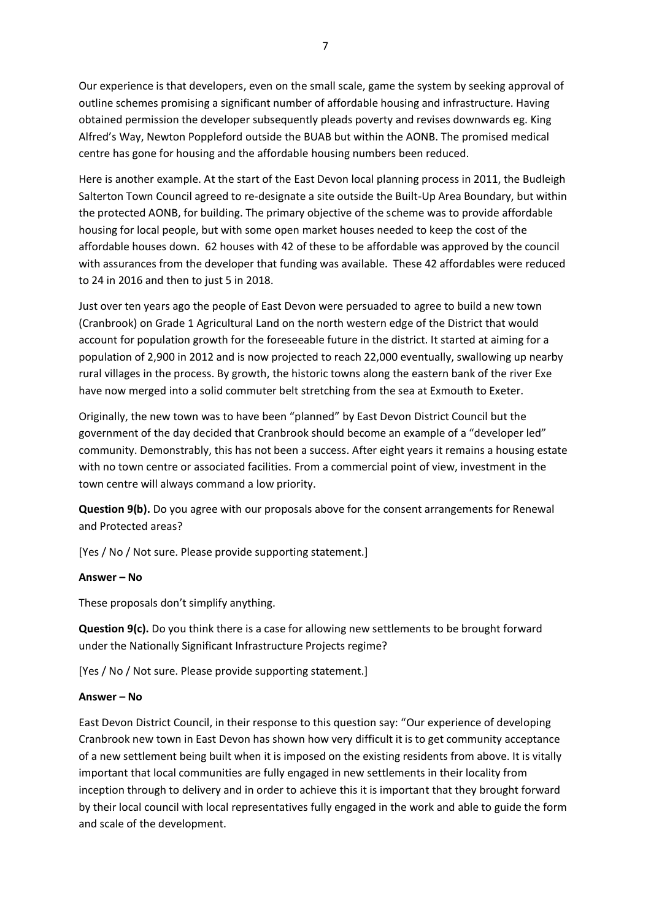Our experience is that developers, even on the small scale, game the system by seeking approval of outline schemes promising a significant number of affordable housing and infrastructure. Having obtained permission the developer subsequently pleads poverty and revises downwards eg. King Alfred's Way, Newton Poppleford outside the BUAB but within the AONB. The promised medical centre has gone for housing and the affordable housing numbers been reduced.

Here is another example. At the start of the East Devon local planning process in 2011, the Budleigh Salterton Town Council agreed to re-designate a site outside the Built-Up Area Boundary, but within the protected AONB, for building. The primary objective of the scheme was to provide affordable housing for local people, but with some open market houses needed to keep the cost of the affordable houses down. 62 houses with 42 of these to be affordable was approved by the council with assurances from the developer that funding was available. These 42 affordables were reduced to 24 in 2016 and then to just 5 in 2018.

Just over ten years ago the people of East Devon were persuaded to agree to build a new town (Cranbrook) on Grade 1 Agricultural Land on the north western edge of the District that would account for population growth for the foreseeable future in the district. It started at aiming for a population of 2,900 in 2012 and is now projected to reach 22,000 eventually, swallowing up nearby rural villages in the process. By growth, the historic towns along the eastern bank of the river Exe have now merged into a solid commuter belt stretching from the sea at Exmouth to Exeter.

Originally, the new town was to have been "planned" by East Devon District Council but the government of the day decided that Cranbrook should become an example of a "developer led" community. Demonstrably, this has not been a success. After eight years it remains a housing estate with no town centre or associated facilities. From a commercial point of view, investment in the town centre will always command a low priority.

**Question 9(b).** Do you agree with our proposals above for the consent arrangements for Renewal and Protected areas?

[Yes / No / Not sure. Please provide supporting statement.]

### **Answer – No**

These proposals don't simplify anything.

**Question 9(c).** Do you think there is a case for allowing new settlements to be brought forward under the Nationally Significant Infrastructure Projects regime?

[Yes / No / Not sure. Please provide supporting statement.]

### **Answer – No**

East Devon District Council, in their response to this question say: "Our experience of developing Cranbrook new town in East Devon has shown how very difficult it is to get community acceptance of a new settlement being built when it is imposed on the existing residents from above. It is vitally important that local communities are fully engaged in new settlements in their locality from inception through to delivery and in order to achieve this it is important that they brought forward by their local council with local representatives fully engaged in the work and able to guide the form and scale of the development.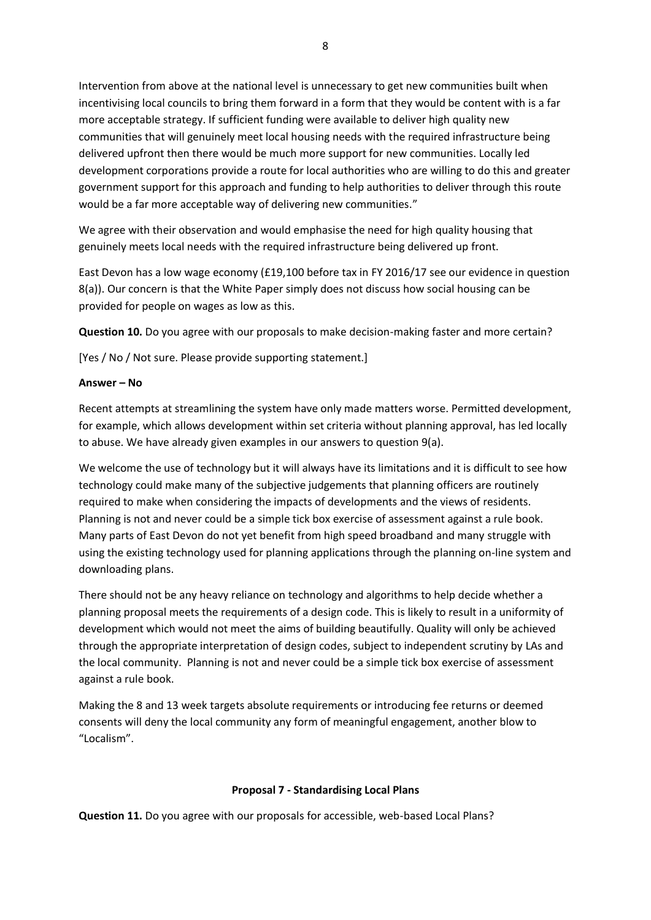Intervention from above at the national level is unnecessary to get new communities built when incentivising local councils to bring them forward in a form that they would be content with is a far more acceptable strategy. If sufficient funding were available to deliver high quality new communities that will genuinely meet local housing needs with the required infrastructure being delivered upfront then there would be much more support for new communities. Locally led development corporations provide a route for local authorities who are willing to do this and greater government support for this approach and funding to help authorities to deliver through this route would be a far more acceptable way of delivering new communities."

We agree with their observation and would emphasise the need for high quality housing that genuinely meets local needs with the required infrastructure being delivered up front.

East Devon has a low wage economy (£19,100 before tax in FY 2016/17 see our evidence in question 8(a)). Our concern is that the White Paper simply does not discuss how social housing can be provided for people on wages as low as this.

**Question 10.** Do you agree with our proposals to make decision-making faster and more certain?

[Yes / No / Not sure. Please provide supporting statement.]

### **Answer – No**

Recent attempts at streamlining the system have only made matters worse. Permitted development, for example, which allows development within set criteria without planning approval, has led locally to abuse. We have already given examples in our answers to question 9(a).

We welcome the use of technology but it will always have its limitations and it is difficult to see how technology could make many of the subjective judgements that planning officers are routinely required to make when considering the impacts of developments and the views of residents. Planning is not and never could be a simple tick box exercise of assessment against a rule book. Many parts of East Devon do not yet benefit from high speed broadband and many struggle with using the existing technology used for planning applications through the planning on-line system and downloading plans.

There should not be any heavy reliance on technology and algorithms to help decide whether a planning proposal meets the requirements of a design code. This is likely to result in a uniformity of development which would not meet the aims of building beautifully. Quality will only be achieved through the appropriate interpretation of design codes, subject to independent scrutiny by LAs and the local community. Planning is not and never could be a simple tick box exercise of assessment against a rule book.

Making the 8 and 13 week targets absolute requirements or introducing fee returns or deemed consents will deny the local community any form of meaningful engagement, another blow to "Localism".

### **Proposal 7 - Standardising Local Plans**

**Question 11.** Do you agree with our proposals for accessible, web-based Local Plans?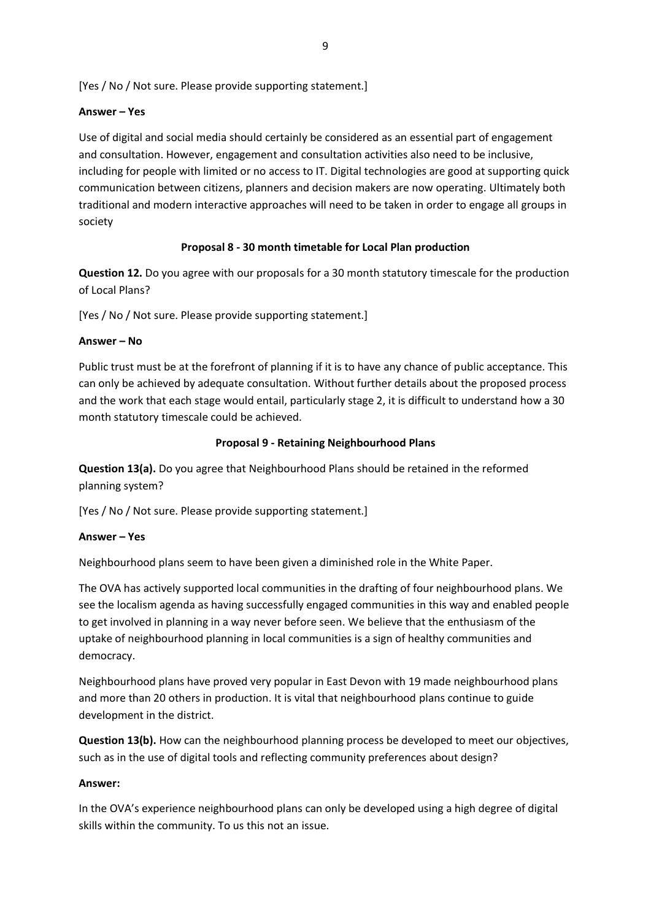[Yes / No / Not sure. Please provide supporting statement.]

## **Answer – Yes**

Use of digital and social media should certainly be considered as an essential part of engagement and consultation. However, engagement and consultation activities also need to be inclusive, including for people with limited or no access to IT. Digital technologies are good at supporting quick communication between citizens, planners and decision makers are now operating. Ultimately both traditional and modern interactive approaches will need to be taken in order to engage all groups in society

# **Proposal 8 - 30 month timetable for Local Plan production**

**Question 12.** Do you agree with our proposals for a 30 month statutory timescale for the production of Local Plans?

[Yes / No / Not sure. Please provide supporting statement.]

## **Answer – No**

Public trust must be at the forefront of planning if it is to have any chance of public acceptance. This can only be achieved by adequate consultation. Without further details about the proposed process and the work that each stage would entail, particularly stage 2, it is difficult to understand how a 30 month statutory timescale could be achieved.

## **Proposal 9 - Retaining Neighbourhood Plans**

**Question 13(a).** Do you agree that Neighbourhood Plans should be retained in the reformed planning system?

[Yes / No / Not sure. Please provide supporting statement.]

### **Answer – Yes**

Neighbourhood plans seem to have been given a diminished role in the White Paper.

The OVA has actively supported local communities in the drafting of four neighbourhood plans. We see the localism agenda as having successfully engaged communities in this way and enabled people to get involved in planning in a way never before seen. We believe that the enthusiasm of the uptake of neighbourhood planning in local communities is a sign of healthy communities and democracy.

Neighbourhood plans have proved very popular in East Devon with 19 made neighbourhood plans and more than 20 others in production. It is vital that neighbourhood plans continue to guide development in the district.

**Question 13(b).** How can the neighbourhood planning process be developed to meet our objectives, such as in the use of digital tools and reflecting community preferences about design?

### **Answer:**

In the OVA's experience neighbourhood plans can only be developed using a high degree of digital skills within the community. To us this not an issue.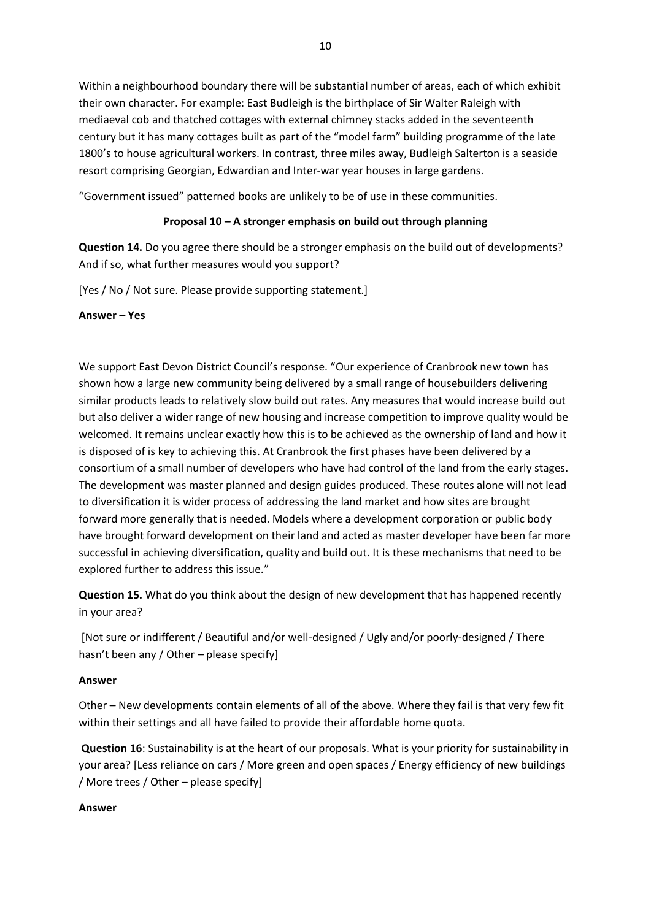Within a neighbourhood boundary there will be substantial number of areas, each of which exhibit their own character. For example: East Budleigh is the birthplace of Sir Walter Raleigh with mediaeval cob and thatched cottages with external chimney stacks added in the seventeenth century but it has many cottages built as part of the "model farm" building programme of the late 1800's to house agricultural workers. In contrast, three miles away, Budleigh Salterton is a seaside resort comprising Georgian, Edwardian and Inter-war year houses in large gardens.

"Government issued" patterned books are unlikely to be of use in these communities.

## **Proposal 10 – A stronger emphasis on build out through planning**

**Question 14.** Do you agree there should be a stronger emphasis on the build out of developments? And if so, what further measures would you support?

[Yes / No / Not sure. Please provide supporting statement.]

**Answer – Yes**

We support East Devon District Council's response. "Our experience of Cranbrook new town has shown how a large new community being delivered by a small range of housebuilders delivering similar products leads to relatively slow build out rates. Any measures that would increase build out but also deliver a wider range of new housing and increase competition to improve quality would be welcomed. It remains unclear exactly how this is to be achieved as the ownership of land and how it is disposed of is key to achieving this. At Cranbrook the first phases have been delivered by a consortium of a small number of developers who have had control of the land from the early stages. The development was master planned and design guides produced. These routes alone will not lead to diversification it is wider process of addressing the land market and how sites are brought forward more generally that is needed. Models where a development corporation or public body have brought forward development on their land and acted as master developer have been far more successful in achieving diversification, quality and build out. It is these mechanisms that need to be explored further to address this issue."

**Question 15.** What do you think about the design of new development that has happened recently in your area?

[Not sure or indifferent / Beautiful and/or well-designed / Ugly and/or poorly-designed / There hasn't been any / Other – please specify]

### **Answer**

Other – New developments contain elements of all of the above. Where they fail is that very few fit within their settings and all have failed to provide their affordable home quota.

**Question 16**: Sustainability is at the heart of our proposals. What is your priority for sustainability in your area? [Less reliance on cars / More green and open spaces / Energy efficiency of new buildings / More trees / Other – please specify]

### **Answer**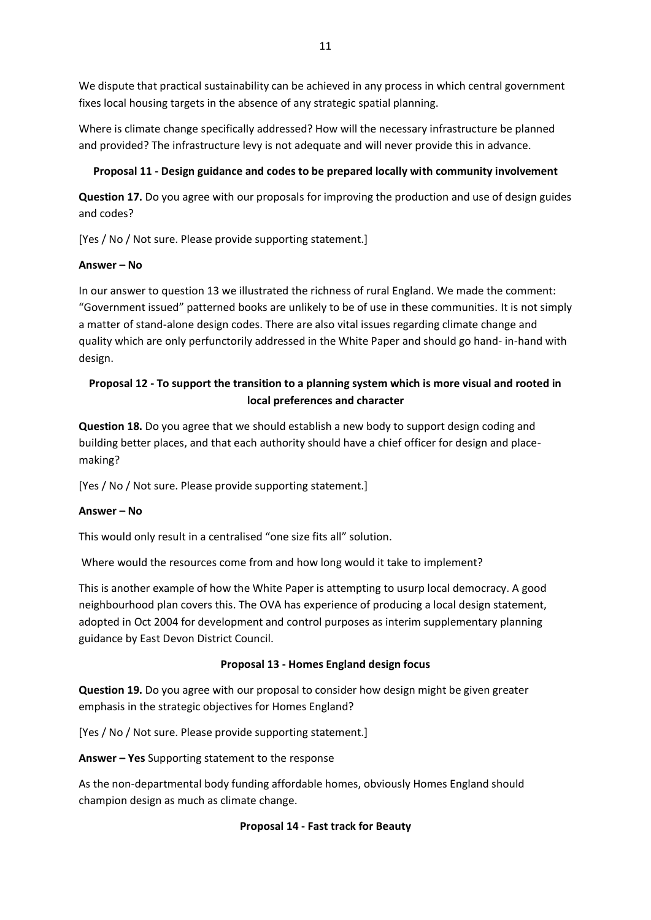We dispute that practical sustainability can be achieved in any process in which central government fixes local housing targets in the absence of any strategic spatial planning.

Where is climate change specifically addressed? How will the necessary infrastructure be planned and provided? The infrastructure levy is not adequate and will never provide this in advance.

# **Proposal 11 - Design guidance and codes to be prepared locally with community involvement**

**Question 17.** Do you agree with our proposals for improving the production and use of design guides and codes?

[Yes / No / Not sure. Please provide supporting statement.]

# **Answer – No**

In our answer to question 13 we illustrated the richness of rural England. We made the comment: "Government issued" patterned books are unlikely to be of use in these communities. It is not simply a matter of stand-alone design codes. There are also vital issues regarding climate change and quality which are only perfunctorily addressed in the White Paper and should go hand- in-hand with design.

# **Proposal 12 - To support the transition to a planning system which is more visual and rooted in local preferences and character**

**Question 18.** Do you agree that we should establish a new body to support design coding and building better places, and that each authority should have a chief officer for design and placemaking?

[Yes / No / Not sure. Please provide supporting statement.]

# **Answer – No**

This would only result in a centralised "one size fits all" solution.

Where would the resources come from and how long would it take to implement?

This is another example of how the White Paper is attempting to usurp local democracy. A good neighbourhood plan covers this. The OVA has experience of producing a local design statement, adopted in Oct 2004 for development and control purposes as interim supplementary planning guidance by East Devon District Council.

# **Proposal 13 - Homes England design focus**

**Question 19.** Do you agree with our proposal to consider how design might be given greater emphasis in the strategic objectives for Homes England?

[Yes / No / Not sure. Please provide supporting statement.]

**Answer – Yes** Supporting statement to the response

As the non-departmental body funding affordable homes, obviously Homes England should champion design as much as climate change.

### **Proposal 14 - Fast track for Beauty**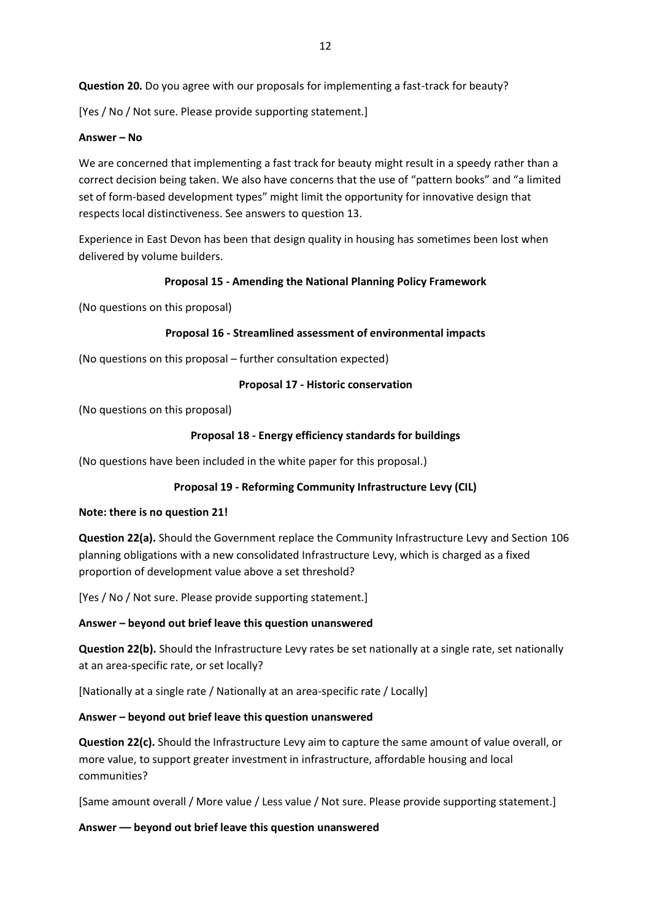**Question 20.** Do you agree with our proposals for implementing a fast-track for beauty?

[Yes / No / Not sure. Please provide supporting statement.]

### **Answer – No**

We are concerned that implementing a fast track for beauty might result in a speedy rather than a correct decision being taken. We also have concerns that the use of "pattern books" and "a limited set of form-based development types" might limit the opportunity for innovative design that respects local distinctiveness. See answers to question 13.

Experience in East Devon has been that design quality in housing has sometimes been lost when delivered by volume builders.

### **Proposal 15 - Amending the National Planning Policy Framework**

(No questions on this proposal)

## **Proposal 16 - Streamlined assessment of environmental impacts**

(No questions on this proposal – further consultation expected)

### **Proposal 17 - Historic conservation**

(No questions on this proposal)

## **Proposal 18 - Energy efficiency standards for buildings**

(No questions have been included in the white paper for this proposal.)

# **Proposal 19 - Reforming Community Infrastructure Levy (CIL)**

### **Note: there is no question 21!**

**Question 22(a).** Should the Government replace the Community Infrastructure Levy and Section 106 planning obligations with a new consolidated Infrastructure Levy, which is charged as a fixed proportion of development value above a set threshold?

[Yes / No / Not sure. Please provide supporting statement.]

### **Answer – beyond out brief leave this question unanswered**

**Question 22(b).** Should the Infrastructure Levy rates be set nationally at a single rate, set nationally at an area-specific rate, or set locally?

[Nationally at a single rate / Nationally at an area-specific rate / Locally]

# **Answer – beyond out brief leave this question unanswered**

**Question 22(c).** Should the Infrastructure Levy aim to capture the same amount of value overall, or more value, to support greater investment in infrastructure, affordable housing and local communities?

[Same amount overall / More value / Less value / Not sure. Please provide supporting statement.]

### **Answer –– beyond out brief leave this question unanswered**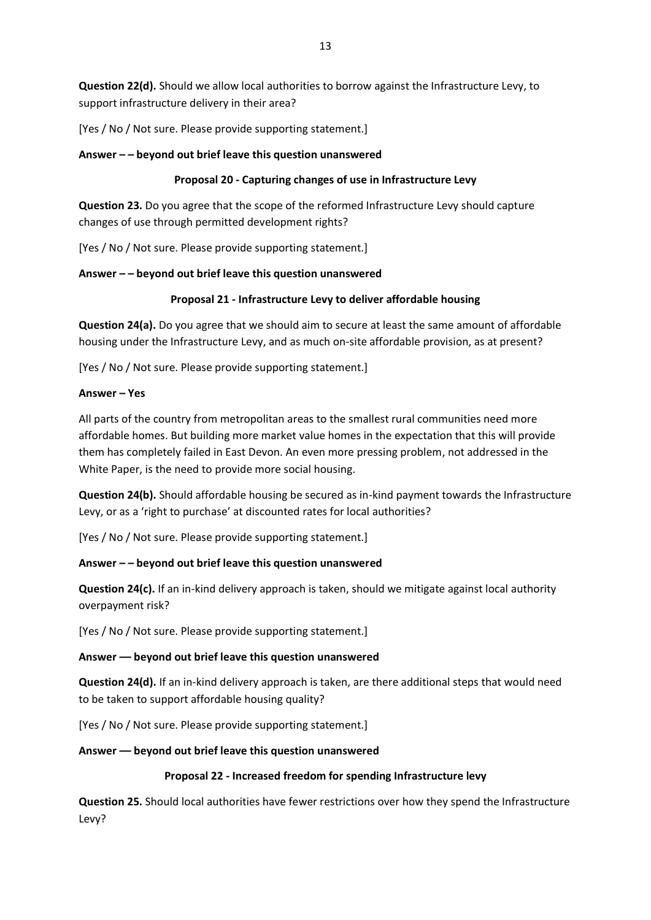**Question 22(d).** Should we allow local authorities to borrow against the Infrastructure Levy, to support infrastructure delivery in their area?

[Yes / No / Not sure. Please provide supporting statement.]

## **Answer – – beyond out brief leave this question unanswered**

## **Proposal 20 - Capturing changes of use in Infrastructure Levy**

**Question 23.** Do you agree that the scope of the reformed Infrastructure Levy should capture changes of use through permitted development rights?

[Yes / No / Not sure. Please provide supporting statement.]

## **Answer – – beyond out brief leave this question unanswered**

## **Proposal 21 - Infrastructure Levy to deliver affordable housing**

**Question 24(a).** Do you agree that we should aim to secure at least the same amount of affordable housing under the Infrastructure Levy, and as much on-site affordable provision, as at present?

[Yes / No / Not sure. Please provide supporting statement.]

### **Answer – Yes**

All parts of the country from metropolitan areas to the smallest rural communities need more affordable homes. But building more market value homes in the expectation that this will provide them has completely failed in East Devon. An even more pressing problem, not addressed in the White Paper, is the need to provide more social housing.

**Question 24(b).** Should affordable housing be secured as in-kind payment towards the Infrastructure Levy, or as a 'right to purchase' at discounted rates for local authorities?

[Yes / No / Not sure. Please provide supporting statement.]

### **Answer – – beyond out brief leave this question unanswered**

**Question 24(c).** If an in-kind delivery approach is taken, should we mitigate against local authority overpayment risk?

[Yes / No / Not sure. Please provide supporting statement.]

### **Answer –– beyond out brief leave this question unanswered**

**Question 24(d).** If an in-kind delivery approach is taken, are there additional steps that would need to be taken to support affordable housing quality?

[Yes / No / Not sure. Please provide supporting statement.]

### **Answer –– beyond out brief leave this question unanswered**

# **Proposal 22 - Increased freedom for spending Infrastructure levy**

**Question 25.** Should local authorities have fewer restrictions over how they spend the Infrastructure Levy?